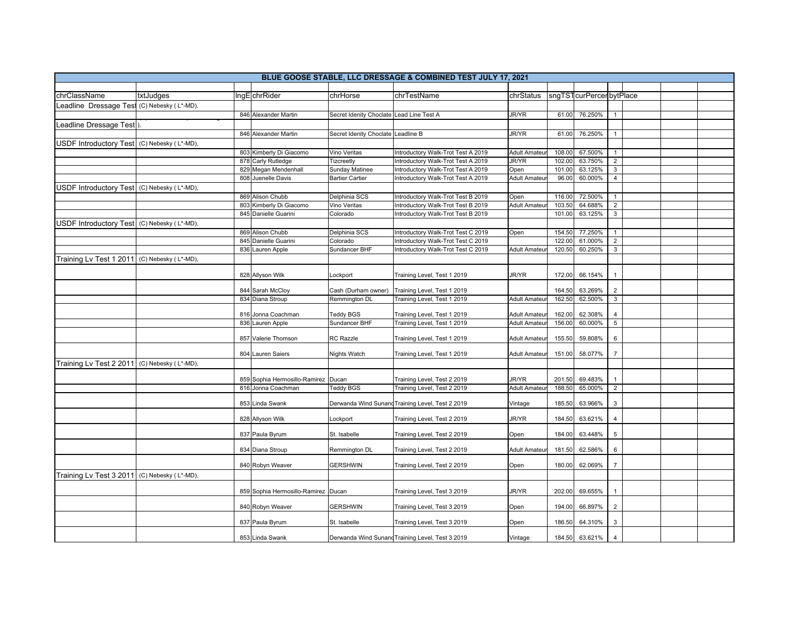| BLUE GOOSE STABLE, LLC DRESSAGE & COMBINED TEST JULY 17, 2021 |                      |                                     |                         |                                                            |                      |                  |                         |                |  |  |
|---------------------------------------------------------------|----------------------|-------------------------------------|-------------------------|------------------------------------------------------------|----------------------|------------------|-------------------------|----------------|--|--|
|                                                               |                      |                                     |                         |                                                            |                      |                  |                         |                |  |  |
| chrClassName                                                  | txtJudges            | IngEchrRider                        | chrHorse                | chrTestName                                                | chrStatus            |                  | sngTSTcurPercerbytPlace |                |  |  |
| Leadline Dressage Test (C) Nebesky (L*-MD),                   |                      |                                     |                         |                                                            |                      |                  |                         |                |  |  |
|                                                               |                      | 846 Alexander Martin                | Secret Idenity Choclate | Lead Line Test A                                           | <b>JR/YR</b>         | 61.00            | 76.250%                 |                |  |  |
| Leadline Dressage Test                                        |                      |                                     |                         |                                                            |                      |                  |                         |                |  |  |
|                                                               |                      | 846 Alexander Martin                | Secret Idenity Choclate | Leadline B                                                 | <b>JR/YR</b>         | 61.00            | 76.250%                 | $\overline{1}$ |  |  |
| USDF Introductory Test                                        | (C) Nebesky (L*-MD), |                                     |                         |                                                            |                      |                  |                         |                |  |  |
|                                                               |                      | 803 Kimberly Di Giacomo             | Vino Veritas            | ntroductory Walk-Trot Test A 2019                          | <b>Adult Amateu</b>  | 108.00           | 67.500%                 | $\overline{1}$ |  |  |
|                                                               |                      | 878 Carly Rutledge                  | Tizcreetly              | ntroductory Walk-Trot Test A 2019                          | <b>JR/YR</b>         | 102.00           | 63.750%                 | $\overline{2}$ |  |  |
|                                                               |                      | 829 Megan Mendenhall                | Sunday Matinee          | ntroductory Walk-Trot Test A 2019                          | Open                 | 101.00           | 63.125%                 | $\mathbf{3}$   |  |  |
|                                                               |                      | 808 Juenelle Davis                  | <b>Bartier Cartier</b>  | ntroductory Walk-Trot Test A 2019                          | <b>Adult Amateu</b>  | 96.00            | 60.000%                 | $\overline{4}$ |  |  |
| USDF Introductory Test (C) Nebesky (L*-MD),                   |                      |                                     |                         |                                                            |                      |                  |                         |                |  |  |
|                                                               |                      | 869 Alison Chubb                    | Delphinia SCS           | ntroductory Walk-Trot Test B 2019                          | Open                 | 116.00           | 72.500%                 | $\overline{1}$ |  |  |
|                                                               |                      | 803 Kimberly Di Giacomo             | Vino Veritas            | ntroductory Walk-Trot Test B 2019                          | Adult Amateur        | 103.50           | 64.688%                 | $\overline{2}$ |  |  |
|                                                               |                      | 845 Danielle Guarini                | Colorado                | ntroductory Walk-Trot Test B 2019                          |                      | 101.00           | 63.125%                 | $\overline{3}$ |  |  |
| USDF Introductory Test (C) Nebesky (L*-MD),                   |                      |                                     |                         |                                                            |                      |                  |                         |                |  |  |
|                                                               |                      | 869 Alison Chubb                    | Delphinia SCS           | ntroductory Walk-Trot Test C 2019                          | Open                 | 154.50           | 77.250%                 | $\overline{1}$ |  |  |
|                                                               |                      | 845 Danielle Guarini                | Colorado                | ntroductory Walk-Trot Test C 2019                          |                      | 122.00           | 61.000%                 | $\overline{2}$ |  |  |
|                                                               |                      | 836 Lauren Apple                    | Sundancer BHF           | ntroductory Walk-Trot Test C 2019                          | Adult Amateur        | 120.50           | 60.250%                 | $\mathbf{3}$   |  |  |
| Training Lv Test 1 2011                                       | (C) Nebesky (L*-MD), |                                     |                         |                                                            |                      |                  |                         |                |  |  |
|                                                               |                      |                                     |                         |                                                            |                      |                  |                         |                |  |  |
|                                                               |                      | 828 Allyson Wilk                    | Lockport                | Training Level, Test 1 2019                                | JR/YR                | 172.00           | 66.154%                 | $\overline{1}$ |  |  |
|                                                               |                      |                                     |                         |                                                            |                      |                  |                         |                |  |  |
|                                                               |                      | 844 Sarah McCloy                    | Cash (Durham owner)     | Training Level, Test 1 2019                                |                      | 164.50           | 63.269%                 | $\overline{2}$ |  |  |
|                                                               |                      | 834 Diana Stroup                    | Remmington DL           | Fraining Level, Test 1 2019                                | <b>Adult Amateur</b> | 162.50           | 62.500%                 | $\overline{3}$ |  |  |
|                                                               |                      | 816 Jonna Coachman                  | Teddy BGS               | Training Level, Test 1 2019                                | Adult Amateu         | 162.00           | 62.308%                 | $\overline{4}$ |  |  |
|                                                               |                      | 836 Lauren Apple                    | Sundancer BHF           | Training Level, Test 1 2019                                | Adult Amateu         | 156.00           | 60.000%                 | $\overline{5}$ |  |  |
|                                                               |                      |                                     |                         |                                                            |                      |                  |                         |                |  |  |
|                                                               |                      | 857 Valerie Thomson                 | <b>RC Razzle</b>        | Training Level, Test 1 2019                                | Adult Amateu         | 155.50           | 59.808%                 | 6              |  |  |
|                                                               |                      |                                     |                         |                                                            |                      |                  |                         |                |  |  |
|                                                               |                      | 804 Lauren Saiers                   | Nights Watch            | Training Level, Test 1 2019                                | <b>Adult Amateur</b> | 151.00           | 58.077%                 | $\overline{7}$ |  |  |
| Training Lv Test 2 2011                                       | (C) Nebesky (L*-MD), |                                     |                         |                                                            |                      |                  |                         |                |  |  |
|                                                               |                      | 859 Sophia Hermosillo-Ramirez Ducan |                         |                                                            | <b>JR/YR</b>         |                  |                         | $\overline{1}$ |  |  |
|                                                               |                      | 816 Jonna Coachman                  | Teddy BGS               | Training Level, Test 2 2019<br>Fraining Level, Test 2 2019 | Adult Amateu         | 201.50<br>188.50 | 69.483%<br>65.000%      | $\overline{2}$ |  |  |
|                                                               |                      |                                     |                         |                                                            |                      |                  |                         |                |  |  |
|                                                               |                      | 853 Linda Swank                     |                         | Derwanda Wind Sunand Training Level, Test 2 2019           | Vintage              | 185.50           | 63.966%                 | $\mathbf{3}$   |  |  |
|                                                               |                      |                                     |                         |                                                            |                      |                  |                         |                |  |  |
|                                                               |                      | 828 Allyson Wilk                    | Lockport                | Training Level, Test 2 2019                                | <b>JR/YR</b>         | 184.50           | 63.621%                 | $\overline{4}$ |  |  |
|                                                               |                      |                                     |                         |                                                            |                      |                  |                         |                |  |  |
|                                                               |                      | 837 Paula Byrum                     | St. Isabelle            | Training Level, Test 2 2019                                | Open                 | 184.00           | 63.448%                 | $\,$ 5 $\,$    |  |  |
|                                                               |                      | 834 Diana Stroup                    | Remmington DL           | Training Level, Test 2 2019                                | <b>Adult Amateur</b> | 181.50           | 62.586%                 | 6              |  |  |
|                                                               |                      |                                     |                         |                                                            |                      |                  |                         |                |  |  |
|                                                               |                      | 840 Robyn Weaver                    | <b>GERSHWIN</b>         | Training Level, Test 2 2019                                | Open                 | 180.00           | 62.069%                 | $\overline{7}$ |  |  |
| Training Lv Test 3 2011                                       | (C) Nebesky (L*-MD), |                                     |                         |                                                            |                      |                  |                         |                |  |  |
|                                                               |                      |                                     |                         |                                                            |                      |                  |                         |                |  |  |
|                                                               |                      | 859 Sophia Hermosillo-Ramirez Ducan |                         | Training Level, Test 3 2019                                | <b>JR/YR</b>         | 202.00           | 69.655%                 | $\overline{1}$ |  |  |
|                                                               |                      |                                     |                         |                                                            |                      |                  |                         |                |  |  |
|                                                               |                      | 840 Robyn Weaver                    | <b>GERSHWIN</b>         | Fraining Level, Test 3 2019                                | Open                 | 194.00           | 66.897%                 | $\overline{2}$ |  |  |
|                                                               |                      | 837 Paula Byrum                     | St. Isabelle            | Fraining Level, Test 3 2019                                | Open                 | 186.50           | 64.310%                 | $\mathbf{3}$   |  |  |
|                                                               |                      |                                     |                         |                                                            |                      |                  |                         |                |  |  |
|                                                               |                      | 853 Linda Swank                     |                         | Derwanda Wind Sunand Training Level, Test 3 2019           | Vintage              | 184.50           | 63.621%                 | $\overline{4}$ |  |  |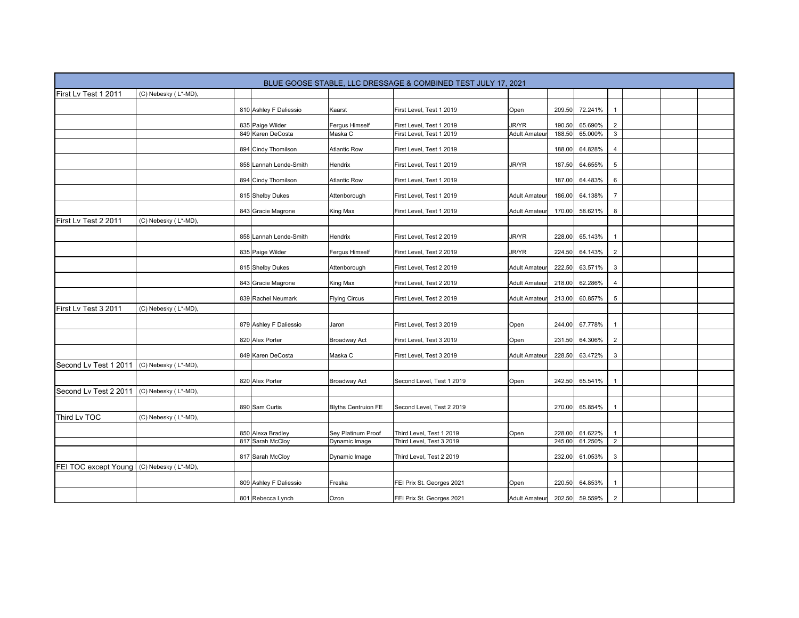|                       |                      |                        |                            | BLUE GOOSE STABLE, LLC DRESSAGE & COMBINED TEST JULY 17, 2021 |                      |        |                |                |  |  |
|-----------------------|----------------------|------------------------|----------------------------|---------------------------------------------------------------|----------------------|--------|----------------|----------------|--|--|
| First Lv Test 1 2011  | (C) Nebesky (L*-MD), |                        |                            |                                                               |                      |        |                |                |  |  |
|                       |                      | 810 Ashley F Daliessio | Kaarst                     | First Level, Test 1 2019                                      | Open                 | 209.50 | 72.241%        |                |  |  |
|                       |                      | 835 Paige Wilder       | Fergus Himself             | First Level, Test 1 2019                                      | <b>JR/YR</b>         | 190.50 | 65.690%        | $\overline{2}$ |  |  |
|                       |                      | 849 Karen DeCosta      | Maska C                    | First Level, Test 1 2019                                      | <b>Adult Amateur</b> | 188.50 | 65.000%        | $\overline{3}$ |  |  |
|                       |                      | 894 Cindy Thomilson    | <b>Atlantic Row</b>        | First Level, Test 1 2019                                      |                      | 188.00 | 64.828%        | $\overline{4}$ |  |  |
|                       |                      | 858 Lannah Lende-Smith | Hendrix                    | First Level, Test 1 2019                                      | <b>JR/YR</b>         | 187.50 | 64.655%        | $\sqrt{5}$     |  |  |
|                       |                      | 894 Cindy Thomilson    | <b>Atlantic Row</b>        | First Level, Test 1 2019                                      |                      | 187.00 | 64.483%        | 6              |  |  |
|                       |                      | 815 Shelby Dukes       | Attenborough               | First Level, Test 1 2019                                      | <b>Adult Amateu</b>  | 186.00 | 64.138%        | $\overline{7}$ |  |  |
|                       |                      | 843 Gracie Magrone     | King Max                   | First Level, Test 1 2019                                      | Adult Amateur        | 170.00 | 58.621%        | 8              |  |  |
| First Lv Test 2 2011  | (C) Nebesky (L*-MD), |                        |                            |                                                               |                      |        |                |                |  |  |
|                       |                      | 858 Lannah Lende-Smith | Hendrix                    | First Level, Test 2 2019                                      | <b>JR/YR</b>         | 228.00 | 65.143%        |                |  |  |
|                       |                      | 835 Paige Wilder       | Fergus Himself             | First Level, Test 2 2019                                      | <b>JR/YR</b>         | 224.50 | 64.143%        | $\overline{2}$ |  |  |
|                       |                      | 815 Shelby Dukes       | Attenborough               | First Level, Test 2 2019                                      | Adult Amateur        | 222.50 | 63.571%        | 3              |  |  |
|                       |                      | 843 Gracie Magrone     | King Max                   | First Level, Test 2 2019                                      | <b>Adult Amateur</b> | 218.00 | 62.286%        | $\overline{4}$ |  |  |
|                       |                      | 839 Rachel Neumark     | <b>Flying Circus</b>       | First Level, Test 2 2019                                      | <b>Adult Amateu</b>  | 213.00 | 60.857%        | $\sqrt{5}$     |  |  |
| First Lv Test 3 2011  | (C) Nebesky (L*-MD), |                        |                            |                                                               |                      |        |                |                |  |  |
|                       |                      | 879 Ashley F Daliessio | Jaron                      | First Level, Test 3 2019                                      | Open                 | 244.00 | 67.778%        |                |  |  |
|                       |                      | 820 Alex Porter        | Broadway Act               | First Level, Test 3 2019                                      | Open                 | 231.50 | 64.306%        | $\overline{2}$ |  |  |
|                       |                      | 849 Karen DeCosta      | Maska C                    | First Level, Test 3 2019                                      | <b>Adult Amateur</b> | 228.50 | 63.472%        | 3              |  |  |
| Second Lv Test 1 2011 | (C) Nebesky (L*-MD), |                        |                            |                                                               |                      |        |                |                |  |  |
|                       |                      | 820 Alex Porter        | Broadway Act               | Second Level, Test 1 2019                                     | Open                 | 242.50 | 65.541%        |                |  |  |
| Second Lv Test 2 2011 | (C) Nebesky (L*-MD), |                        |                            |                                                               |                      |        |                |                |  |  |
|                       |                      | 890 Sam Curtis         | <b>Blyths Centruion FE</b> | Second Level, Test 2 2019                                     |                      | 270.00 | 65.854%        |                |  |  |
| Third Lv TOC          | (C) Nebesky (L*-MD), |                        |                            |                                                               |                      |        |                |                |  |  |
|                       |                      | 850 Alexa Bradley      | Sey Platinum Proof         | Third Level, Test 1 2019                                      | Open                 | 228.00 | 61.622%        |                |  |  |
|                       |                      | 817 Sarah McCloy       | Dynamic Image              | Third Level, Test 3 2019                                      |                      | 245.00 | 61.250%        | $\overline{2}$ |  |  |
|                       |                      | 817 Sarah McCloy       | Dynamic Image              | Third Level, Test 2 2019                                      |                      | 232.00 | 61.053%        | $\sqrt{3}$     |  |  |
| FEI TOC except Young  | (C) Nebesky (L*-MD), |                        |                            |                                                               |                      |        |                |                |  |  |
|                       |                      | 809 Ashley F Daliessio | Freska                     | FEI Prix St. Georges 2021                                     | Open                 | 220.50 | 64.853%        |                |  |  |
|                       |                      | 801 Rebecca Lynch      | Ozon                       | FEI Prix St. Georges 2021                                     | <b>Adult Amateur</b> |        | 202.50 59.559% | $\overline{2}$ |  |  |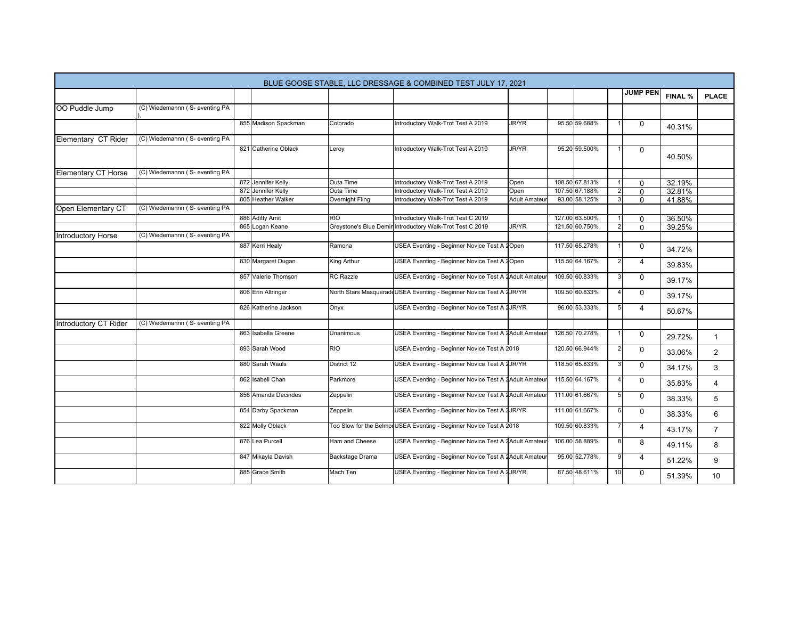| BLUE GOOSE STABLE, LLC DRESSAGE & COMBINED TEST JULY 17, 2021 |                                |  |                       |                        |                                                                      |                     |  |                |                |                 |         |                |
|---------------------------------------------------------------|--------------------------------|--|-----------------------|------------------------|----------------------------------------------------------------------|---------------------|--|----------------|----------------|-----------------|---------|----------------|
|                                                               |                                |  |                       |                        |                                                                      |                     |  |                |                | <b>JUMP PEN</b> | FINAL % | <b>PLACE</b>   |
| OO Puddle Jump                                                | (C) Wiedemannn (S- eventing PA |  |                       |                        |                                                                      |                     |  |                |                |                 |         |                |
|                                                               |                                |  | 855 Madison Spackman  | Colorado               | Introductory Walk-Trot Test A 2019                                   | <b>JR/YR</b>        |  | 95.50 59.688%  |                | $\mathbf{0}$    | 40.31%  |                |
| Elementary CT Rider                                           | (C) Wiedemannn (S- eventing PA |  |                       |                        |                                                                      |                     |  |                |                |                 |         |                |
|                                                               |                                |  | 821 Catherine Oblack  | Leroy                  | Introductory Walk-Trot Test A 2019                                   | JR/YR               |  | 95.20 59.500%  |                | 0               | 40.50%  |                |
| Elementary CT Horse                                           | (C) Wiedemannn (S- eventing PA |  |                       |                        |                                                                      |                     |  |                |                |                 |         |                |
|                                                               |                                |  | 872 Jennifer Kelly    | <b>Outa Time</b>       | Introductory Walk-Trot Test A 2019                                   | Open                |  | 108.50 67.813% |                | $\Omega$        | 32.19%  |                |
|                                                               |                                |  | 872 Jennifer Kelly    | Outa Time              | Introductory Walk-Trot Test A 2019                                   | Open                |  | 107.50 67.188% | $\overline{2}$ | 0               | 32.81%  |                |
|                                                               |                                |  | 805 Heather Walker    | Overnight Fling        | Introductory Walk-Trot Test A 2019                                   | <b>Adult Amateu</b> |  | 93.00 58.125%  | 3              | 0               | 41.88%  |                |
| Open Elementary CT                                            | (C) Wiedemannn (S- eventing PA |  |                       |                        |                                                                      |                     |  |                |                |                 |         |                |
|                                                               |                                |  | 886 Aditty Amit       | <b>RIO</b>             | Introductory Walk-Trot Test C 2019                                   |                     |  | 127.00 63.500% |                | $\Omega$        | 36.50%  |                |
|                                                               |                                |  | 865 Logan Keane       | Greystone's Blue Demir | Introductory Walk-Trot Test C 2019                                   | <b>JR/YR</b>        |  | 121.50 60.750% | $\overline{2}$ | 0               | 39.25%  |                |
| Introductory Horse                                            | (C) Wiedemannn (S- eventing PA |  |                       |                        |                                                                      |                     |  |                |                |                 |         |                |
|                                                               |                                |  | 887 Kerri Healy       | Ramona                 | USEA Eventing - Beginner Novice Test A 2Open                         |                     |  | 117.50 65.278% |                | $\Omega$        | 34.72%  |                |
|                                                               |                                |  | 830 Margaret Dugan    | King Arthur            | USEA Eventing - Beginner Novice Test A 2Open                         |                     |  | 115.50 64.167% | $\overline{2}$ | $\overline{4}$  | 39.83%  |                |
|                                                               |                                |  | 857 Valerie Thomson   | <b>RC</b> Razzle       | USEA Eventing - Beginner Novice Test A 2Adult Amateur                |                     |  | 109.50 60.833% | 3              | $\mathbf 0$     | 39.17%  |                |
|                                                               |                                |  | 806 Erin Altringer    |                        | North Stars Masquerade USEA Eventing - Beginner Novice Test A 2JR/YR |                     |  | 109.50 60.833% |                | $\Omega$        | 39.17%  |                |
|                                                               |                                |  | 826 Katherine Jackson | Onyx                   | USEA Eventing - Beginner Novice Test A 2JR/YR                        |                     |  | 96.00 53.333%  | 5              | 4               | 50.67%  |                |
| Introductory CT Rider                                         | (C) Wiedemannn (S- eventing PA |  |                       |                        |                                                                      |                     |  |                |                |                 |         |                |
|                                                               |                                |  | 863 Isabella Greene   | Unanimous              | USEA Eventing - Beginner Novice Test A 2Adult Amateu                 |                     |  | 126.50 70.278% |                | $\Omega$        | 29.72%  | $\mathbf{1}$   |
|                                                               |                                |  | 893 Sarah Wood        | <b>RIO</b>             | USEA Eventing - Beginner Novice Test A 2018                          |                     |  | 120.50 66.944% |                | 0               | 33.06%  | $\overline{2}$ |
|                                                               |                                |  | 880 Sarah Wauls       | District 12            | USEA Eventing - Beginner Novice Test A 2JR/YR                        |                     |  | 118.50 65.833% | 3 <sup>1</sup> | $\Omega$        | 34.17%  | 3              |
|                                                               |                                |  | 862 Isabell Chan      | Parkmore               | USEA Eventing - Beginner Novice Test A 2 Adult Amateur               |                     |  | 115.50 64.167% |                | $\mathbf 0$     | 35.83%  | 4              |
|                                                               |                                |  | 856 Amanda Decindes   | Zeppelin               | USEA Eventing - Beginner Novice Test A 2 Adult Amateu                |                     |  | 111.00 61.667% | 5              | $\mathbf 0$     | 38.33%  | 5              |
|                                                               |                                |  | 854 Darby Spackman    | Zeppelin               | USEA Eventing - Beginner Novice Test A 2JR/YR                        |                     |  | 111.00 61.667% | $6 \mid$       | $\mathbf 0$     | 38.33%  | 6              |
|                                                               |                                |  | 822 Molly Oblack      |                        | Too Slow for the Belmon USEA Eventing - Beginner Novice Test A 2018  |                     |  | 109.50 60.833% |                | 4               | 43.17%  | $\overline{7}$ |
|                                                               |                                |  | 876 Lea Purcell       | Ham and Cheese         | USEA Eventing - Beginner Novice Test A 2Adult Amateur                |                     |  | 106.00 58.889% | 8 <sup>1</sup> | 8               | 49.11%  | 8              |
|                                                               |                                |  | 847 Mikayla Davish    | Backstage Drama        | USEA Eventing - Beginner Novice Test A 2 Adult Amateur               |                     |  | 95.00 52.778%  | 9              | 4               | 51.22%  | 9              |
|                                                               |                                |  | 885 Grace Smith       | Mach Ten               | USEA Eventing - Beginner Novice Test A 2JR/YR                        |                     |  | 87.50 48.611%  | 10             | $\Omega$        | 51.39%  | 10             |